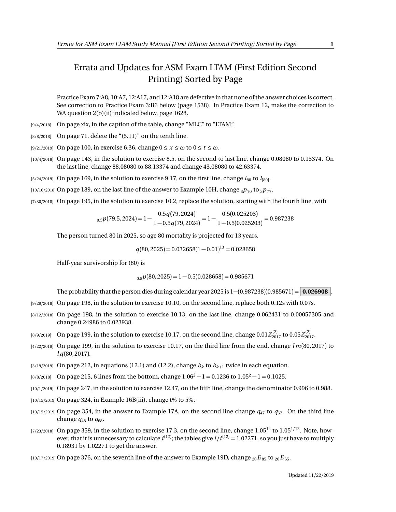## Errata and Updates for ASM Exam LTAM (First Edition Second Printing) Sorted by Page

Practice Exam 7:A8, 10:A7, 12:A17, and 12:A18 are defective in that none of the answer choices is correct. See correction to Practice Exam 3:B6 below (page 1538). In Practice Exam 12, make the correction to WA question 2(b)(ii) indicated below, page 1628.

- [9/4/2018] On page xix, in the caption of the table, change "MLC" to "LTAM".
- $[8/8/2018]$  On page 71, delete the " $(5.11)$ " on the tenth line.
- [9/21/2019] On page 100, in exercise 6.36, change  $0 \le x \le \omega$  to  $0 \le t \le \omega$ .
- [10/4/2018] On page 143, in the solution to exercise 8.5, on the second to last line, change 0.08080 to 0.13374. On the last line, change 88,08080 to 88.13374 and change 43.08080 to 42.63374.
- $_{[5/24/2019]}$  On page 169, in the solution to exercise 9.17, on the first line, change  $l_{80}$  to  $l_{[80]}$ .
- $[10/16/2018]$  On page 189, on the last line of the answer to Example 10H, change  $3p_{70}$  to  $3p_{77}$ .
- [7/30/2018] On page 195, in the solution to exercise 10.2, replace the solution, starting with the fourth line, with

$$
_{0.5}p(79.5,2024)=1-\frac{0.5q(79,2024)}{1-0.5q(79,2024)}=1-\frac{0.5(0.025203)}{1-0.5(0.025203)}=0.987238
$$

The person turned 80 in 2025, so age 80 mortality is projected for 13 years.

 $q(80, 2025) = 0.032658(1 - 0.01)^{13} = 0.028658$ 

Half-year survivorship for (80) is

$$
_{0.5}p(80,2025) = 1 - 0.5(0.028658) = 0.985671
$$

The probability that the person dies during calendar year 2025 is 1−(0.987238)(0.985671) = **0.026908** .

- [9/29/2018] On page 198, in the solution to exercise 10.10, on the second line, replace both 0.12s with 0.07s.
- [8/12/2018] On page 198, in the solution to exercise 10.13, on the last line, change 0.062431 to 0.00057305 and change 0.24986 to 0.023938.
- $_{[8/9/2019]}$  On page 199, in the solution to exercise 10.17, on the second line, change  $0.01Z_{2017}^{(2)}$  to  $0.05Z_{2017}^{(2)}$ .
- [4/22/2019] On page 199, in the solution to exercise 10.17, on the third line from the end, change *l m*(80, 2017) to *l q*(80, 2017).
- $_{[3/19/2019]}$  On page 212, in equations (12.1) and (12.2), change  $b_k$  to  $b_{k+1}$  twice in each equation.
- [8/8/2018] On page 215, 6 lines from the bottom, change  $1.06^2 1 = 0.1236$  to  $1.05^2 1 = 0.1025$ .
- [10/1/2019] On page 247, in the solution to exercise 12.47, on the fifth line, change the denominator 0.996 to 0.988.
- [10/15/2019] On page 324, in Example 16B(iii), change t% to 5%.
- $(10/15/2019)$  On page 354, in the answer to Example 17A, on the second line change  $q_{47}$  to  $q_{67}$ . On the third line change  $q_{48}$  to  $q_{68}$ .
- [7/23/2018] On page 359, in the solution to exercise 17.3, on the second line, change  $1.05^{12}$  to  $1.05^{1/12}$ . Note, however, that it is unnecessary to calculate  $i^{(12)}$ ; the tables give  $i/i^{(12)} = 1.02271$ , so you just have to multiply 0.18931 by 1.02271 to get the answer.

 $[10/17/2019]$  On page 376, on the seventh line of the answer to Example 19D, change  ${}_{20}E_{85}$  to  ${}_{20}E_{65}$ .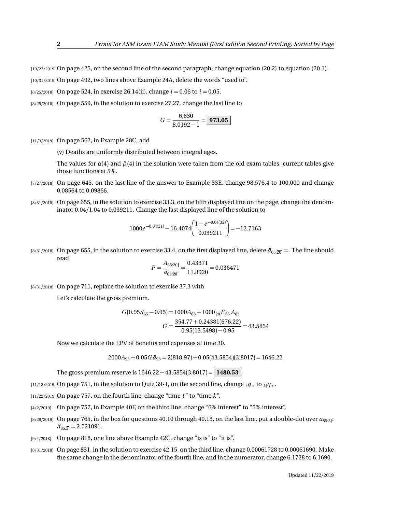[10/22/2019] On page 425, on the second line of the second paragraph, change equation (20.2) to equation (20.1).

[10/31/2019] On page 492, two lines above Example 24A, delete the words "used to".

[8/25/2018] On page 524, in exercise 26.14(ii), change  $i = 0.06$  to  $i = 0.05$ .

[8/25/2018] On page 559, in the solution to exercise 27.27, change the last line to

$$
G = \frac{6,830}{8.0192 - 1} = \boxed{973.05}
$$

[11/3/2019] On page 562, in Example 28C, add

(v) Deaths are uniformly distributed between integral ages.

The values for  $\alpha(4)$  and  $\beta(4)$  in the solution were taken from the old exam tables; current tables give those functions at 5%.

- [7/27/2018] On page 645, on the last line of the answer to Example 33E, change 98,576.4 to 100,000 and change 0.08564 to 0.09866.
- [8/31/2018] On page 655, in the solution to exercise 33.3, on the fifth displayed line on the page, change the denominator 0.04*/*1.04 to 0.039211. Change the last displayed line of the solution to

$$
1000e^{-0.04(31)} - 16.4074 \left( \frac{1 - e^{-0.04(32)}}{0.039211} \right) = -12.7163
$$

[8/31/2018] On page 655, in the solution to exercise 33.4, on the first displayed line, delete  $\ddot{a}_{65:20}$  =. The line should read

$$
P = \frac{A_{65:20}}{d_{65:20}} = \frac{0.43371}{11.8920} = 0.036471
$$

[8/31/2018] On page 711, replace the solution to exercise 37.3 with

Let's calculate the gross premium.

$$
G(0.95\ddot{a}_{65} - 0.95) = 1000A_{65} + 1000_{20}E_{65}A_{85}
$$

$$
G = \frac{354.77 + 0.24381(676.22)}{0.95(13.5498) - 0.95} = 43.5854
$$

Now we calculate the EPV of benefits and expenses at time 30.

 $2000A_{95} + 0.05G \ddot{a}_{95} = 2(818.97) + 0.05(43.5854)(3.8017) = 1646.22$ 

The gross premium reserve is 1646.22 − 43.5854(3.8017) = **1480.53** .

 $_{[11/18/2019]}$  On page 751, in the solution to Quiz 39-1, on the second line, change  $_{t}q_{_{X}}$  to  $_{k|}q_{_{X}}.$ 

 $[11/22/2019]$  On page 757, on the fourth line, change "time  $t$ " to "time  $k$ ".

- [4/2/2019] On page 757, in Example 40F, on the third line, change "6% interest" to "5% interest".
- [8/29/2019] On page 765, in the box for questions 40.10 through 40.13, on the last line, put a double-dot over  $a_{85:3}$ :  $\ddot{a}_{85\cdot\overline{3}} = 2.721091.$
- [9/4/2018] On page 818, one line above Example 42C, change "is is" to "it is".
- [8/31/2018] On page 831, in the solution to exercise 42.15, on the third line, change 0.00061728 to 0.00061690. Make the same change in the denominator of the fourth line, and in the numerator, change 6.1728 to 6.1690.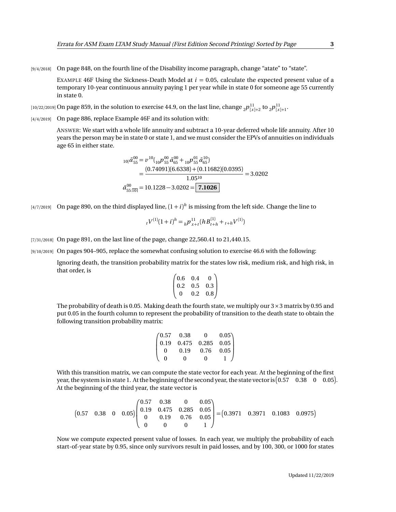[9/4/2018] On page 848, on the fourth line of the Disability income paragraph, change "atate" to "state".

EXAMPLE 46F Using the Sickness-Death Model at  $i = 0.05$ , calculate the expected present value of a temporary 10-year continuous annuity paying 1 per year while in state 0 for someone age 55 currently in state 0.

 $_{[10/22/2019]}$  On page 859, in the solution to exercise 44.9, on the last line, change  $_{2}p_{[x]+2}^{11}$  to  $_{2}p_{[x]+1}^{11}$ .

[4/4/2019] On page 886, replace Example 46F and its solution with:

ANSWER: We start with a whole life annuity and subtract a 10-year deferred whole life annuity. After 10 years the person may be in state 0 or state 1, and we must consider the EPVs of annuities on individuals age 65 in either state.

$$
i_{0}|\bar{a}_{55}^{00} = v^{10} ( {}_{10}p^{00}_{55} \bar{a}_{65}^{00} + {}_{10}p^{01}_{55} \bar{a}_{65}^{10})
$$
  
= 
$$
\frac{(0.74091)(6.6338) + (0.11682)(0.0395)}{1.05^{10}} = 3.0202
$$
  

$$
\bar{a}_{55:\overline{10}}^{00} = 10.1228 - 3.0202 = 7.1026
$$

 $_{[4/7/2019]}$  On page 890, on the third displayed line,  $(1+i)^h$  is missing from the left side. Change the line to

$$
{}_{t}V^{(1)}(1+i)^{h} = {}_{h}P^{11}_{x+t}(hB^{(1)}_{t+h} + {}_{t+h}V^{(1)})
$$

- [7/31/2018] On page 891, on the last line of the page, change 22,560.41 to 21,440.15.
- [9/10/2019] On pages 904–905, replace the somewhat confusing solution to exercise 46.6 with the following:

Ignoring death, the transition probability matrix for the states low risk, medium risk, and high risk, in that order, is

$$
\begin{pmatrix} 0.6 & 0.4 & 0 \\ 0.2 & 0.5 & 0.3 \\ 0 & 0.2 & 0.8 \end{pmatrix}
$$

The probability of death is 0.05. Making death the fourth state, we multiply our  $3 \times 3$  matrix by 0.95 and put 0.05 in the fourth column to represent the probability of transition to the death state to obtain the following transition probability matrix:

$$
\begin{pmatrix} 0.57 & 0.38 & 0 & 0.05 \\ 0.19 & 0.475 & 0.285 & 0.05 \\ 0 & 0.19 & 0.76 & 0.05 \\ 0 & 0 & 0 & 1 \end{pmatrix}
$$

With this transition matrix, we can compute the state vector for each year. At the beginning of the first year, the system is in state 1. At the beginning of the second year, the state vector is  $(0.57 \quad 0.38 \quad 0 \quad 0.05)$ . At the beginning of the third year, the state vector is

$$
\begin{pmatrix}\n0.57 & 0.38 & 0 & 0.05 \\
0.57 & 0.38 & 0 & 0.05\n\end{pmatrix}\n\begin{pmatrix}\n0.57 & 0.38 & 0 & 0.05 \\
0.19 & 0.475 & 0.285 & 0.05 \\
0 & 0.19 & 0.76 & 0.05 \\
0 & 0 & 0 & 1\n\end{pmatrix}\n=\n\begin{pmatrix}\n0.3971 & 0.3971 & 0.1083 & 0.0975\n\end{pmatrix}
$$

Now we compute expected present value of losses. In each year, we multiply the probability of each start-of-year state by 0.95, since only survivors result in paid losses, and by 100, 300, or 1000 for states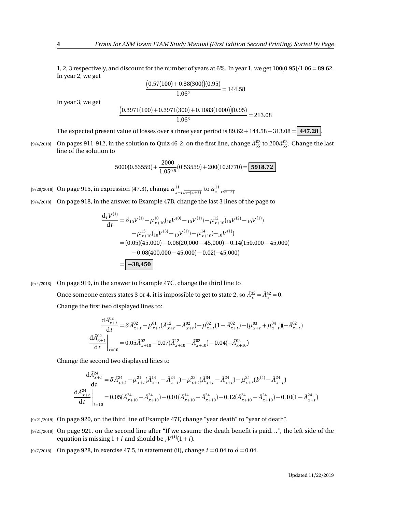1, 2, 3 respectively, and discount for the number of years at 6%. In year 1, we get 100(0.95)*/*1.06 = 89.62. In year 2, we get

$$
\frac{(0.57(100) + 0.38(300))(0.95)}{1.06^2} = 144.58
$$

In year 3, we get

$$
\frac{(0.3971(100) + 0.3971(300) + 0.1083(1000))(0.95)}{1.06^3} = 213.08
$$

The expected present value of losses over a three year period is  $89.62 + 144.58 + 313.08 = 447.28$ .

 $_{[9/4/2018]}$   $\,$  On pages 911-912, in the solution to Quiz 46-2, on the first line, change  $\bar a_{65}^{02}$  to 200 $\bar a_{65}^{02}$ . Change the last line of the solution to

$$
5000(0.53559) + \frac{2000}{1.05^{0.5}}(0.53559) + 200(10.9770) = \boxed{5918.72}
$$

 $\frac{1}{2}[9/20/2018]$  On page 915, in expression (47.3), change  $\bar{a}^{11}_{x+t:\overline{n-(x+t)}}$  to  $\bar{a}^{11}_{x+t:\overline{n-t}}$ .

[9/4/2018] On page 918, in the answer to Example 47B, change the last 3 lines of the page to

$$
\frac{d_t V^{(1)}}{dt} = \delta_{10} V^{(1)} - \mu_{x+10}^{10} ({}_{10}V^{(0)} - {}_{10}V^{(1)}) - \mu_{x+10}^{12} ({}_{10}V^{(2)} - {}_{10}V^{(1)})
$$

$$
- \mu_{x+10}^{13} ({}_{10}V^{(3)} - {}_{10}V^{(1)}) - \mu_{x+10}^{14} (-{}_{10}V^{(1)})
$$

$$
= (0.05)(45,000) - 0.06(20,000 - 45,000) - 0.14(150,000 - 45,000)
$$

$$
- 0.08(400,000 - 45,000) - 0.02(-45,000)
$$

$$
= \boxed{-38,450}
$$

[9/4/2018] On page 919, in the answer to Example 47C, change the third line to Once someone enters states 3 or 4, it is impossible to get to state 2, so  $\bar{A}_x^{32} = \bar{A}_x^{42} = 0$ .

Change the first two displayed lines to:

$$
\frac{d\bar{A}_{x+t}^{02}}{dt} = \delta \bar{A}_{x+t}^{02} - \mu_{x+t}^{01} (\bar{A}_{x+t}^{12} - \bar{A}_{x+t}^{02}) - \mu_{x+t}^{02} (1 - \bar{A}_{x+t}^{02}) - (\mu_{x+t}^{03} + \mu_{x+t}^{04}) (-\bar{A}_{x+t}^{02})
$$

$$
\frac{d\bar{A}_{x+t}^{02}}{dt}\bigg|_{t=10} = 0.05 \bar{A}_{x+10}^{02} - 0.07 (\bar{A}_{x+10}^{12} - \bar{A}_{x+10}^{02}) - 0.04 (-\bar{A}_{x+10}^{02})
$$

Change the second two displayed lines to

 $-\alpha$ <sup>4</sup>

$$
\frac{dA_{x+t}^{24}}{dt} = \delta \bar{A}_{x+t}^{24} - \mu_{x+t}^{21} (\bar{A}_{x+t}^{14} - \bar{A}_{x+t}^{24}) - \mu_{x+t}^{23} (\bar{A}_{x+t}^{34} - \bar{A}_{x+t}^{24}) - \mu_{x+t}^{24} (b^{(4)} - \bar{A}_{x+t}^{24})
$$
\n
$$
\frac{d\bar{A}_{x+t}^{24}}{dt} \bigg|_{t=10} = 0.05(\bar{A}_{x+10}^{24} - \bar{A}_{x+10}^{24}) - 0.01(\bar{A}_{x+10}^{14} - \bar{A}_{x+10}^{24}) - 0.12(\bar{A}_{x+10}^{34} - \bar{A}_{x+10}^{24}) - 0.10(1 - \bar{A}_{x+t}^{24})
$$

- [9/21/2019] On page 920, on the third line of Example 47F, change "year death" to "year of death".
- [9/21/2019] On page 921, on the second line after "If we assume the death benefit is paid...", the left side of the equation is missing  $1 + i$  and should be  $t^{V^{(1)}(1+i)}$ .
- [9/7/2018] On page 928, in exercise 47.5, in statement (ii), change *i* = 0.04 to *δ* = 0.04.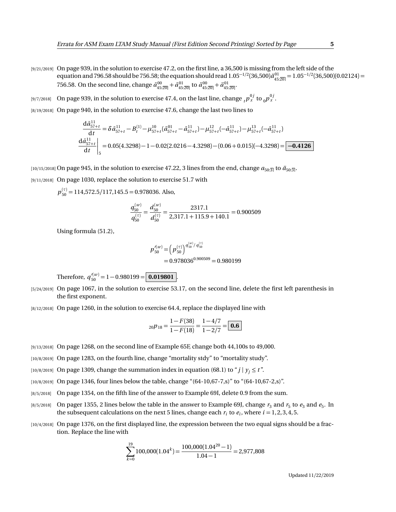- [9/21/2019] On page 939, in the solution to exercise 47.2, on the first line, a 36,500 is missing from the left side of the equation and 796.58 should be 756.58; the equation should read  $1.05^{-1/2}(36,500)\ddot{a}_{45:\overline{20}}^{01} = 1.05^{-1/2}(36,500)(0.02124) =$ 756.58. On the second line, change  $\bar{a}_{45:20]}^{00} + \bar{a}_{45:20}^{01}$  to  $\ddot{a}_{45:20]}^{00} + \ddot{a}_{45:20}^{01}$ .
- [9/7/2018] On page 939, in the solution to exercise 47.4, on the last line, change  ${}_{t}p_{x}^{0j}$  to  ${}_{0}p_{x}^{0j}$ .
- [8/19/2018] On page 940, in the solution to exercise 47.6, change the last two lines to

$$
\frac{d\bar{a}_{57+t}^{11}}{dt} = \delta \bar{a}_{57+t}^{11} - B_t^{(1)} - \mu_{57+t}^{10} (\bar{a}_{57+t}^{01} - \bar{a}_{57+t}^{11}) - \mu_{57+t}^{12} (-\bar{a}_{57+t}^{11}) - \mu_{57+t}^{13} (-\bar{a}_{57+t}^{11})
$$
\n
$$
\frac{d\bar{a}_{57+t}^{11}}{dt} \bigg|_{5} = 0.05(4.3298) - 1 - 0.02(2.0216 - 4.3298) - (0.06 + 0.015)(-4.3298) = \boxed{-0.4126}
$$

 $[10/15/2018]$  On page 945, in the solution to exercise 47.22, 3 lines from the end, change  $a_{50:3}$  to  $a_{50:3}$ .

[9/11/2018] On page 1030, replace the solution to exercise 51.7 with

*p* (*τ*) <sup>50</sup> = 114,572.5*/*117,145.5 = 0.978036. Also,

$$
\frac{q_{50}^{(w)}}{q_{50}^{(\tau)}} = \frac{d_{50}^{(w)}}{d_{50}^{(\tau)}} = \frac{2317.1}{2,317.1 + 115.9 + 140.1} = 0.900509
$$

Using formula (51.2),

$$
p_{50}^{\prime(w)} = (p_{50}^{(\tau)})^{q_{50}^{(w)}/q_{50}^{(\tau)}}
$$
  
= 0.978036<sup>0.900509</sup> = 0.980199

Therefore,  $q_{50}^{\prime(w)} = 1 - 0.980199 = \boxed{0.019801}$ .

- [5/24/2019] On page 1067, in the solution to exercise 53.17, on the second line, delete the first left parenthesis in the first exponent.
- [8/12/2018] On page 1260, in the solution to exercise 64.4, replace the displayed line with

$$
{}_{20}p_{18} = \frac{1 - F(38)}{1 - F(18)} = \frac{1 - 4/7}{1 - 2/7} = \boxed{\textbf{0.6}}
$$

- [9/13/2018] On page 1268, on the second line of Example 65F, change both 44,100s to 49,000.
- [10/8/2019] On page 1283, on the fourth line, change "mortality stdy" to "mortality study".
- [10/8/2019] On page 1309, change the summation index in equation (68.1) to " $j \mid y_i \le t$ ".
- [10/8/2019] On page 1346, four lines below the table, change "(64-10,67-7,s)" to "(64-10,67-2,s)".
- [8/5/2018] On page 1354, on the fifth line of the answer to Example 69I, delete 0.9 from the sum.
- $_{[8/5/2018]}$  On pager 1355, 2 lines below the table in the answer to Example 69J, change  $r_3$  and  $r_5$  to  $e_3$  and  $e_5$ . In the subsequent calculations on the next 5 lines, change each  $r_i$  to  $e_i$ , where  $i = 1, 2, 3, 4, 5$ .
- [10/4/2018] On page 1376, on the first displayed line, the expression between the two equal signs should be a fraction. Replace the line with

$$
\sum_{k=0}^{19} 100,000(1.04^k) = \frac{100,000(1.04^{20} - 1)}{1.04 - 1} = 2,977,808
$$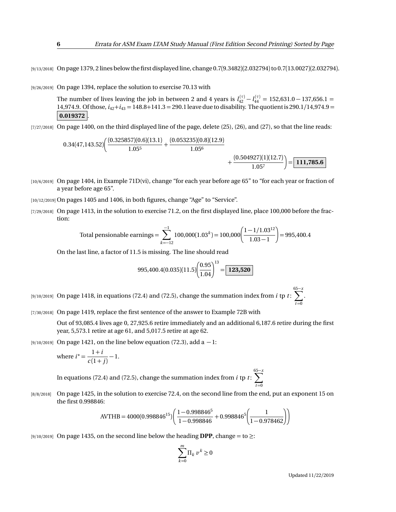[9/13/2018] On page 1379, 2 lines below the first displayed line, change 0.7(9.3482)(2.032794) to 0.7(13.0027)(2.032794).

[9/26/2019] On page 1394, replace the solution to exercise 70.13 with

The number of lives leaving the job in between 2 and 4 years is  $l_{42}^{(\tau)} - l_{44}^{(\tau)} = 152{,}631.0 - 137{,}656.1 =$ 14,974.9. Of those,  $i_{42}+i_{43}=148.8+141.3=290.1$  leave due to disability. The quotient is 290.1/14,974.9 = **0.019372** .

[7/27/2018] On page 1400, on the third displayed line of the page, delete (25), (26), and (27), so that the line reads:

$$
0.34(47,143.52)\left(\frac{(0.325857)(0.6)(13.1)}{1.05^5} + \frac{(0.053235)(0.8)(12.9)}{1.05^6} + \frac{(0.504927)(1)(12.7)}{1.05^7}\right) = \boxed{111,785.6}
$$

- [10/6/2019] On page 1404, in Example 71D(vi), change "for each year before age 65" to "for each year or fraction of a year before age 65".
- [10/12/2019] On pages 1405 and 1406, in both figures, change "Age" to "Service".
- [7/29/2018] On page 1413, in the solution to exercise 71.2, on the first displayed line, place 100,000 before the fraction:

Total pensionable earnings = 
$$
\sum_{k=-12}^{-1} 100,000(1.03^{k}) = 100,000 \left( \frac{1 - 1/1.03^{12}}{1.03 - 1} \right) = 995,400.4
$$

On the last line, a factor of 11.5 is missing. The line should read

$$
995,400.4(0.035)(11.5)\left(\frac{0.95}{1.04}\right)^{13} = \boxed{123,520}
$$

[9/10/2019] On page 1418, in equations (72.4) and (72.5), change the summation index from *i* tp *t* :  $\sum_{i=1}^{65-x}$  $t = 0$ 

[7/30/2018] On page 1419, replace the first sentence of the answer to Example 72B with

Out of 93,085.4 lives age 0, 27,925.6 retire immediately and an additional 6,187.6 retire during the first year, 5,573.1 retire at age 61, and 5,017.5 retire at age 62.

[9/10/2019] On page 1421, on the line below equation (72.3), add a  $-1$ :

where 
$$
i^* = \frac{1+i}{c(1+j)} - 1
$$
.

In equations (72.4) and (72.5), change the summation index from *i* tp *t* : 65 X−*x*  $t = 0$ 

[8/8/2018] On page 1425, in the solution to exercise 72.4, on the second line from the end, put an exponent 15 on the first 0.998846:

$$
\text{AVTHB} = 4000(0.998846^{15}) \bigg( \frac{1 - 0.998846^5}{1 - 0.998846} + 0.998846^5 \bigg( \frac{1}{1 - 0.978462} \bigg) \bigg)
$$

[9/10/2019] On page 1435, on the second line below the heading **DPP**, change = to ≥:

$$
\sum_{k=0}^{m} \Pi_k \, v^k \ge 0
$$

Updated 11/22/2019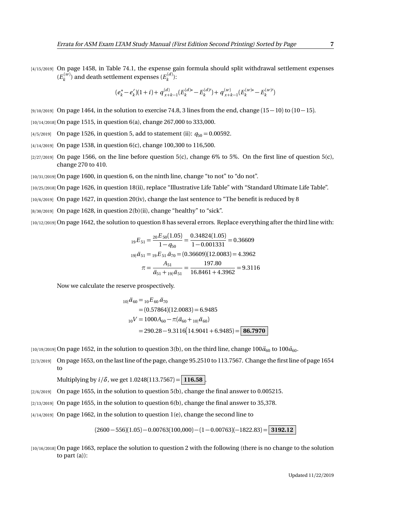[4/15/2019] On page 1458, in Table 74.1, the expense gain formula should split withdrawal settlement expenses  $(E_k^{(w)})$  and death settlement expenses  $(E_k^{(d)})$ :

$$
(e_k^* - e_k')(1+i) + q_{x+k-1}^{(d)}(E_k^{(d)*} - E_k^{(d)}) + q_{x+k-1}^{(w)}(E_k^{(w)*} - E_k^{(w)})
$$

- [9/10/2019] On page 1464, in the solution to exercise 74.8, 3 lines from the end, change (15 − 10) to (10 − 15).
- [10/14/2018] On page 1515, in question 6(a), change 267,000 to 333,000.
- [4/5/2019] On page 1526, in question 5, add to statement (ii):  $q_{50} = 0.00592$ .
- [4/14/2019] On page 1538, in question 6(c), change 100,300 to 116,500.
- $[2/27/2019]$  On page 1566, on the line before question 5(c), change 6% to 5%. On the first line of question 5(c), change 270 to 410.
- [10/31/2019] On page 1600, in question 6, on the ninth line, change "to not" to "do not".
- [10/25/2018] On page 1626, in question 18(ii), replace "Illustrative Life Table" with "Standard Ultimate Life Table".
- [10/6/2019] On page 1627, in question 20(iv), change the last sentence to "The benefit is reduced by 8
- $[8/30/2019]$  On page 1628, in question 2(b)(ii), change "healthy" to "sick".
- [10/12/2019] On page 1642, the solution to question 8 has several errors. Replace everything after the third line with:

$$
{}_{19}E_{51} = \frac{{}_{20}E_{50}(1.05)}{1 - q_{50}} = \frac{0.34824(1.05)}{1 - 0.001331} = 0.36609
$$
  

$$
{}_{19}i\ddot{a}_{51} = {}_{19}E_{51}\ddot{a}_{70} = (0.36609)(12.0083) = 4.3962
$$
  

$$
\pi = \frac{A_{51}}{\ddot{a}_{51} + {}_{19}i\ddot{a}_{51}} = \frac{197.80}{16.8461 + 4.3962} = 9.3116
$$

Now we calculate the reserve prospectively.

$$
{}_{10|}\ddot{a}_{60} = {}_{10}E_{60}\ddot{a}_{70}
$$
  
= (0.57864)(12.0083) = 6.9485  

$$
{}_{10}V = 1000A_{60} - \pi(\ddot{a}_{60} + {}_{10}|\ddot{a}_{60})
$$
  
= 290.28 - 9.3116(14.9041 + 6.9485) = 86.7970

 $(10/19/2019)$  On page 1652, in the solution to question 3(b), on the third line, change  $100\ddot{a}_{60}$  to  $100\ddot{a}_{60}$ .

[2/3/2019] On page 1653, on the last line of the page, change 95.2510 to 113.7567. Change the first line of page 1654 to

Multiplying by  $i/\delta$ , we get 1.0248(113.7567) = 116.58

- [2/6/2019] On page 1655, in the solution to question 5(b), change the final answer to 0.005215.
- $[2/13/2019]$  On page 1655, in the solution to question 6(b), change the final answer to 35,378.
- [4/14/2019] On page 1662, in the solution to question 1(e), change the second line to

 $(2600 - 556)(1.05) - 0.00763(100,000) - (1 - 0.00763)(-1822.83) =$  **3192.12** 

[10/16/2018] On page 1663, replace the solution to question 2 with the following (there is no change to the solution to part (a)):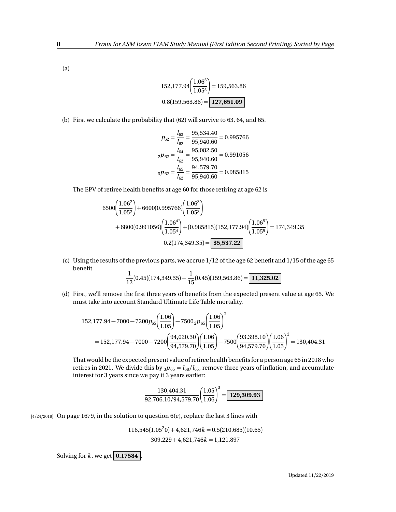(a)

$$
152,177.94 \left(\frac{1.06^5}{1.05^5}\right) = 159,563.86
$$

$$
0.8(159,563.86) = \boxed{127,651.09}
$$

(b) First we calculate the probability that (62) will survive to 63, 64, and 65.

$$
p_{62} = \frac{l_{63}}{l_{62}} = \frac{95,534.40}{95,940.60} = 0.995766
$$

$$
_2p_{62} = \frac{l_{64}}{l_{62}} = \frac{95,082.50}{95,940.60} = 0.991056
$$

$$
_3p_{62} = \frac{l_{65}}{l_{62}} = \frac{94,579.70}{95,940.60} = 0.985815
$$

The EPV of retiree health benefits at age 60 for those retiring at age 62 is

$$
6500\left(\frac{1.06^2}{1.05^2}\right) + 6600(0.995766)\left(\frac{1.06^3}{1.05^3}\right) + 6800(0.991056)\left(\frac{1.06^4}{1.05^4}\right) + (0.985815)(152,177.94)\left(\frac{1.06^5}{1.05^5}\right) = 174,349.35 0.2(174,349.35) = 35,537.22
$$

(c) Using the results of the previous parts, we accrue 1/12 of the age 62 benefit and 1/15 of the age 65 benefit.

$$
\frac{1}{12}(0.45)(174,349.35) + \frac{1}{15}(0.45)(159,563.86) = \boxed{11,325.02}
$$

(d) First, we'll remove the first three years of benefits from the expected present value at age 65. We must take into account Standard Ultimate Life Table mortality.

$$
152,177.94 - 7000 - 7200p_{65} \left(\frac{1.06}{1.05}\right) - 7500 {}_{2}p_{65} \left(\frac{1.06}{1.05}\right)^{2}
$$
  
= 152,177.94 - 7000 - 7200  $\left(\frac{94,020.30}{94,579.70}\right) \left(\frac{1.06}{1.05}\right) - 7500 \left(\frac{93,398.10}{94,579.70}\right) \left(\frac{1.06}{1.05}\right)^{2}$  = 130,404.31

That would be the expected present value of retiree health benefits for a person age 65 in 2018 who retires in 2021. We divide this by  $_3p_{65} = l_{68}/l_{65}$ , remove three years of inflation, and accumulate interest for 3 years since we pay it 3 years earlier:

$$
\frac{130,404.31}{92,706.10/94,579.70} \left(\frac{1.05}{1.06}\right)^3 = \boxed{129,309.93}
$$

 $[4/24/2019]$  On page 1679, in the solution to question 6(e), replace the last 3 lines with

$$
116,545(1.05^20) + 4,621,746k = 0.5(210,685)(10.65)
$$
  
309,229 + 4,621,746k = 1,121,897

Solving for  $k$ , we get  $\boxed{0.17584}$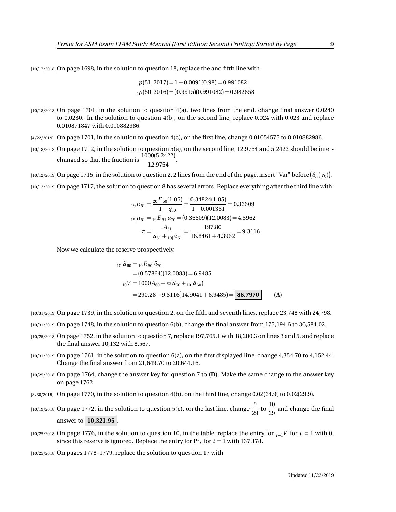[10/17/2018] On page 1698, in the solution to question 18, replace the and fifth line with

$$
p(51,2017) = 1 - 0.0091(0.98) = 0.991082
$$
  

$$
2p(50,2016) = (0.9915)(0.991082) = 0.982658
$$

- [10/18/2018] On page 1701, in the solution to question 4(a), two lines from the end, change final answer 0.0240 to 0.0230. In the solution to question 4(b), on the second line, replace 0.024 with 0.023 and replace 0.010871847 with 0.010882986.
- $[4/22/2019]$  On page 1701, in the solution to question  $4(c)$ , on the first line, change 0.01054575 to 0.010882986.
- [10/18/2018] On page 1712, in the solution to question 5(a), on the second line, 12.9754 and 5.2422 should be interchanged so that the fraction is  $\frac{1000(5.2422)}{10.0754}$  $\frac{12.9754}{2}$ .

 $_1$ 10/12/2019] On page 1715, in the solution to question 2, 2 lines from the end of the page, insert "Var" before  $(S_n(y_k)].$ [10/12/2019] On page 1717, the solution to question 8 has several errors. Replace everything after the third line with:

$$
{}_{19}E_{51} = \frac{{}_{20}E_{50}(1.05)}{1 - q_{50}} = \frac{0.34824(1.05)}{1 - 0.001331} = 0.36609
$$
  

$$
{}_{19}i\ddot{a}_{51} = {}_{19}E_{51}\ddot{a}_{70} = (0.36609)(12.0083) = 4.3962
$$
  

$$
\pi = \frac{A_{51}}{\ddot{a}_{51} + {}_{19}i\ddot{a}_{51}} = \frac{197.80}{16.8461 + 4.3962} = 9.3116
$$

Now we calculate the reserve prospectively.

$$
{}_{10|}\ddot{a}_{60} = {}_{10}E_{60}\ddot{a}_{70}
$$
  
= (0.57864)(12.0083) = 6.9485  

$$
{}_{10}V = 1000A_{60} - \pi(\ddot{a}_{60} + {}_{10|}\ddot{a}_{60})
$$
  
= 290.28 - 9.3116(14.9041 + 6.9485) = 86.7970 (A)

[10/31/2019] On page 1739, in the solution to question 2, on the fifth and seventh lines, replace 23,748 with 24,798.

- [10/31/2019] On page 1748, in the solution to question 6(b), change the final answer from 175,194.6 to 36,584.02.
- [10/25/2018] On page 1752, in the solution to question 7, replace 197,765.1 with 18,200.3 on lines 3 and 5, and replace the final answer 10,132 with 8,567.
- [10/31/2019] On page 1761, in the solution to question 6(a), on the first displayed line, change 4,354.70 to 4,152.44. Change the final answer from 21,649.70 to 20,644.16.
- [10/25/2018] On page 1764, change the answer key for question 7 to **(D)**. Make the same change to the answer key on page 1762
- [8/30/2019] On page 1770, in the solution to question 4(b), on the third line, change 0.02(64.9) to 0.02(29.9).
- [10/19/2018] On page 1772, in the solution to question 5(c), on the last line, change  $\frac{9}{20}$  $\frac{9}{29}$  to  $\frac{10}{29}$  $\frac{20}{29}$  and change the final answer to **10,321.95** .
- [10/25/2018] On page 1776, in the solution to question 10, in the table, replace the entry for  $t_1$ <sup>V</sup> for  $t = 1$  with 0, since this reserve is ignored. Replace the entry for  $Pr_t$  for  $t = 1$  with 137.178.

[10/25/2018] On pages 1778–1779, replace the solution to question 17 with